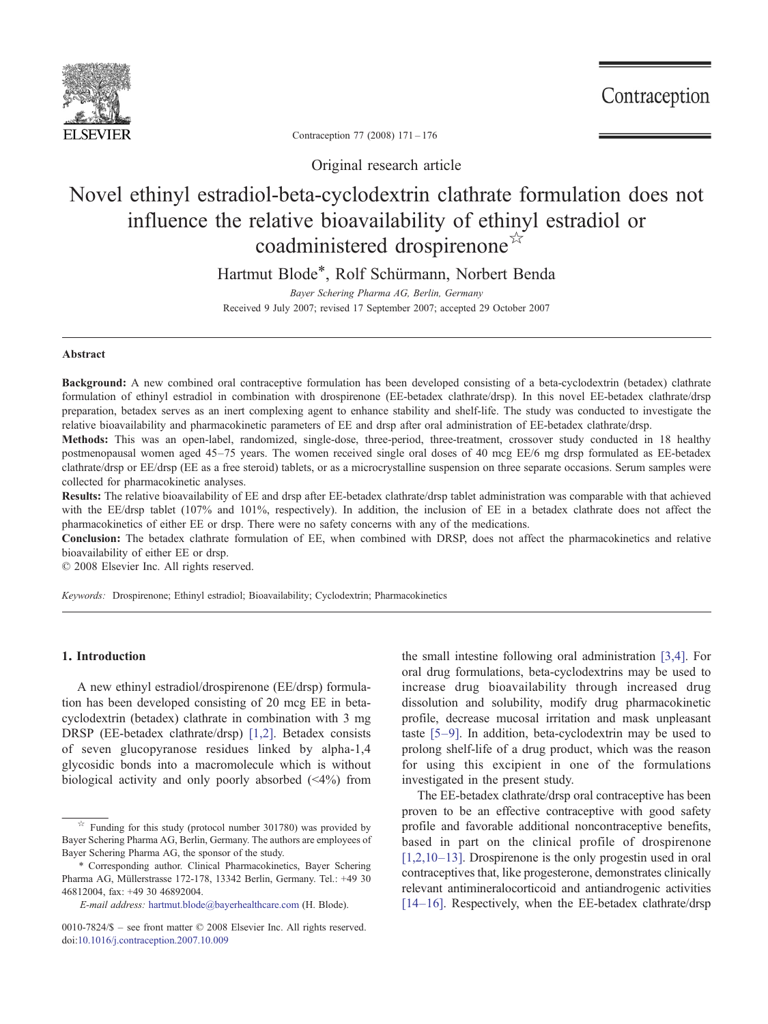

Contraception

Contraception 77 (2008) 171–176

Original research article

# Novel ethinyl estradiol-beta-cyclodextrin clathrate formulation does not influence the relative bioavailability of ethinyl estradiol or coadministered drospirenone☆

Hartmut Blode\*, Rolf Schürmann, Norbert Benda

Bayer Schering Pharma AG, Berlin, Germany Received 9 July 2007; revised 17 September 2007; accepted 29 October 2007

### Abstract

Background: A new combined oral contraceptive formulation has been developed consisting of a beta-cyclodextrin (betadex) clathrate formulation of ethinyl estradiol in combination with drospirenone (EE-betadex clathrate/drsp). In this novel EE-betadex clathrate/drsp preparation, betadex serves as an inert complexing agent to enhance stability and shelf-life. The study was conducted to investigate the relative bioavailability and pharmacokinetic parameters of EE and drsp after oral administration of EE-betadex clathrate/drsp.

Methods: This was an open-label, randomized, single-dose, three-period, three-treatment, crossover study conducted in 18 healthy postmenopausal women aged 45–75 years. The women received single oral doses of 40 mcg EE/6 mg drsp formulated as EE-betadex clathrate/drsp or EE/drsp (EE as a free steroid) tablets, or as a microcrystalline suspension on three separate occasions. Serum samples were collected for pharmacokinetic analyses.

Results: The relative bioavailability of EE and drsp after EE-betadex clathrate/drsp tablet administration was comparable with that achieved with the EE/drsp tablet (107% and 101%, respectively). In addition, the inclusion of EE in a betadex clathrate does not affect the pharmacokinetics of either EE or drsp. There were no safety concerns with any of the medications.

Conclusion: The betadex clathrate formulation of EE, when combined with DRSP, does not affect the pharmacokinetics and relative bioavailability of either EE or drsp.

© 2008 Elsevier Inc. All rights reserved.

Keywords: Drospirenone; Ethinyl estradiol; Bioavailability; Cyclodextrin; Pharmacokinetics

# 1. Introduction

A new ethinyl estradiol/drospirenone (EE/drsp) formulation has been developed consisting of 20 mcg EE in betacyclodextrin (betadex) clathrate in combination with 3 mg DRSP (EE-betadex clathrate/drsp) [\[1,2\]](#page-5-0). Betadex consists of seven glucopyranose residues linked by alpha-1,4 glycosidic bonds into a macromolecule which is without biological activity and only poorly absorbed  $(\leq 4\%)$  from

the small intestine following oral administration [\[3,4\].](#page-5-0) For oral drug formulations, beta-cyclodextrins may be used to increase drug bioavailability through increased drug dissolution and solubility, modify drug pharmacokinetic profile, decrease mucosal irritation and mask unpleasant taste [5–[9\]](#page-5-0). In addition, beta-cyclodextrin may be used to prolong shelf-life of a drug product, which was the reason for using this excipient in one of the formulations investigated in the present study.

The EE-betadex clathrate/drsp oral contraceptive has been proven to be an effective contraceptive with good safety profile and favorable additional noncontraceptive benefits, based in part on the clinical profile of drospirenone [\[1,2,10](#page-5-0)–13]. Drospirenone is the only progestin used in oral contraceptives that, like progesterone, demonstrates clinically relevant antimineralocorticoid and antiandrogenic activities [14–[16\].](#page-5-0) Respectively, when the EE-betadex clathrate/drsp

 $\overrightarrow{r}$  Funding for this study (protocol number 301780) was provided by Bayer Schering Pharma AG, Berlin, Germany. The authors are employees of Bayer Schering Pharma AG, the sponsor of the study.

<sup>⁎</sup> Corresponding author. Clinical Pharmacokinetics, Bayer Schering Pharma AG, Müllerstrasse 172-178, 13342 Berlin, Germany. Tel.: +49 30 46812004, fax: +49 30 46892004.

E-mail address: [hartmut.blode@bayerhealthcare.com](mailto:hartmut.blode@bayerhealthcare.com) (H. Blode).

<sup>0010-7824/\$</sup> – see front matter © 2008 Elsevier Inc. All rights reserved. doi[:10.1016/j.contraception.2007.10.009](http://dx.doi.org/10.1016/j.contraception.2007.10.009)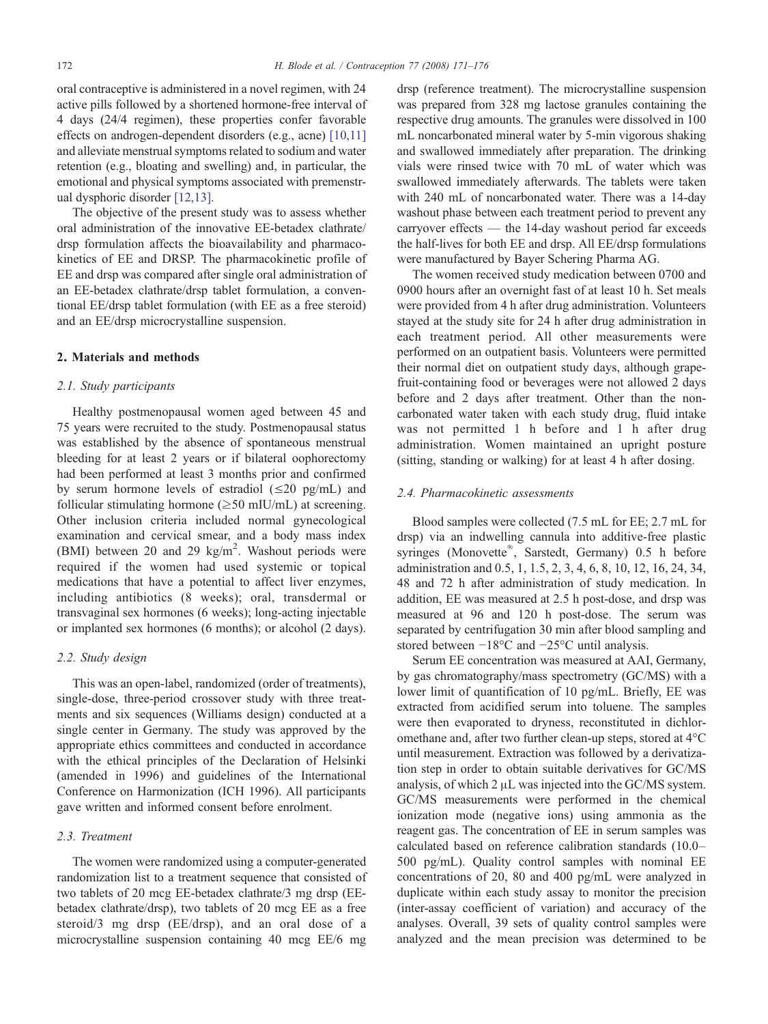oral contraceptive is administered in a novel regimen, with 24 active pills followed by a shortened hormone-free interval of 4 days (24/4 regimen), these properties confer favorable effects on androgen-dependent disorders (e.g., acne) [\[10,11\]](#page-5-0) and alleviate menstrual symptoms related to sodium and water retention (e.g., bloating and swelling) and, in particular, the emotional and physical symptoms associated with premenstrual dysphoric disorder [\[12,13\]](#page-5-0).

The objective of the present study was to assess whether oral administration of the innovative EE-betadex clathrate/ drsp formulation affects the bioavailability and pharmacokinetics of EE and DRSP. The pharmacokinetic profile of EE and drsp was compared after single oral administration of an EE-betadex clathrate/drsp tablet formulation, a conventional EE/drsp tablet formulation (with EE as a free steroid) and an EE/drsp microcrystalline suspension.

## 2. Materials and methods

## 2.1. Study participants

Healthy postmenopausal women aged between 45 and 75 years were recruited to the study. Postmenopausal status was established by the absence of spontaneous menstrual bleeding for at least 2 years or if bilateral oophorectomy had been performed at least 3 months prior and confirmed by serum hormone levels of estradiol  $(\leq 20 \text{ pg/mL})$  and follicular stimulating hormone ( $\geq$ 50 mIU/mL) at screening. Other inclusion criteria included normal gynecological examination and cervical smear, and a body mass index (BMI) between 20 and 29  $\text{kg/m}^2$ . Washout periods were required if the women had used systemic or topical medications that have a potential to affect liver enzymes, including antibiotics (8 weeks); oral, transdermal or transvaginal sex hormones (6 weeks); long-acting injectable or implanted sex hormones (6 months); or alcohol (2 days).

## 2.2. Study design

This was an open-label, randomized (order of treatments), single-dose, three-period crossover study with three treatments and six sequences (Williams design) conducted at a single center in Germany. The study was approved by the appropriate ethics committees and conducted in accordance with the ethical principles of the Declaration of Helsinki (amended in 1996) and guidelines of the International Conference on Harmonization (ICH 1996). All participants gave written and informed consent before enrolment.

## 2.3. Treatment

The women were randomized using a computer-generated randomization list to a treatment sequence that consisted of two tablets of 20 mcg EE-betadex clathrate/3 mg drsp (EEbetadex clathrate/drsp), two tablets of 20 mcg EE as a free steroid/3 mg drsp (EE/drsp), and an oral dose of a microcrystalline suspension containing 40 mcg EE/6 mg

drsp (reference treatment). The microcrystalline suspension was prepared from 328 mg lactose granules containing the respective drug amounts. The granules were dissolved in 100 mL noncarbonated mineral water by 5-min vigorous shaking and swallowed immediately after preparation. The drinking vials were rinsed twice with 70 mL of water which was swallowed immediately afterwards. The tablets were taken with 240 mL of noncarbonated water. There was a 14-day washout phase between each treatment period to prevent any carryover effects — the 14-day washout period far exceeds the half-lives for both EE and drsp. All EE/drsp formulations were manufactured by Bayer Schering Pharma AG.

The women received study medication between 0700 and 0900 hours after an overnight fast of at least 10 h. Set meals were provided from 4 h after drug administration. Volunteers stayed at the study site for 24 h after drug administration in each treatment period. All other measurements were performed on an outpatient basis. Volunteers were permitted their normal diet on outpatient study days, although grapefruit-containing food or beverages were not allowed 2 days before and 2 days after treatment. Other than the noncarbonated water taken with each study drug, fluid intake was not permitted 1 h before and 1 h after drug administration. Women maintained an upright posture (sitting, standing or walking) for at least 4 h after dosing.

#### 2.4. Pharmacokinetic assessments

Blood samples were collected (7.5 mL for EE; 2.7 mL for drsp) via an indwelling cannula into additive-free plastic syringes (Monovette®, Sarstedt, Germany) 0.5 h before administration and 0.5, 1, 1.5, 2, 3, 4, 6, 8, 10, 12, 16, 24, 34, 48 and 72 h after administration of study medication. In addition, EE was measured at 2.5 h post-dose, and drsp was measured at 96 and 120 h post-dose. The serum was separated by centrifugation 30 min after blood sampling and stored between −18°C and −25°C until analysis.

Serum EE concentration was measured at AAI, Germany, by gas chromatography/mass spectrometry (GC/MS) with a lower limit of quantification of 10 pg/mL. Briefly, EE was extracted from acidified serum into toluene. The samples were then evaporated to dryness, reconstituted in dichloromethane and, after two further clean-up steps, stored at 4°C until measurement. Extraction was followed by a derivatization step in order to obtain suitable derivatives for GC/MS analysis, of which 2 μL was injected into the GC/MS system. GC/MS measurements were performed in the chemical ionization mode (negative ions) using ammonia as the reagent gas. The concentration of EE in serum samples was calculated based on reference calibration standards (10.0– 500 pg/mL). Quality control samples with nominal EE concentrations of 20, 80 and 400 pg/mL were analyzed in duplicate within each study assay to monitor the precision (inter-assay coefficient of variation) and accuracy of the analyses. Overall, 39 sets of quality control samples were analyzed and the mean precision was determined to be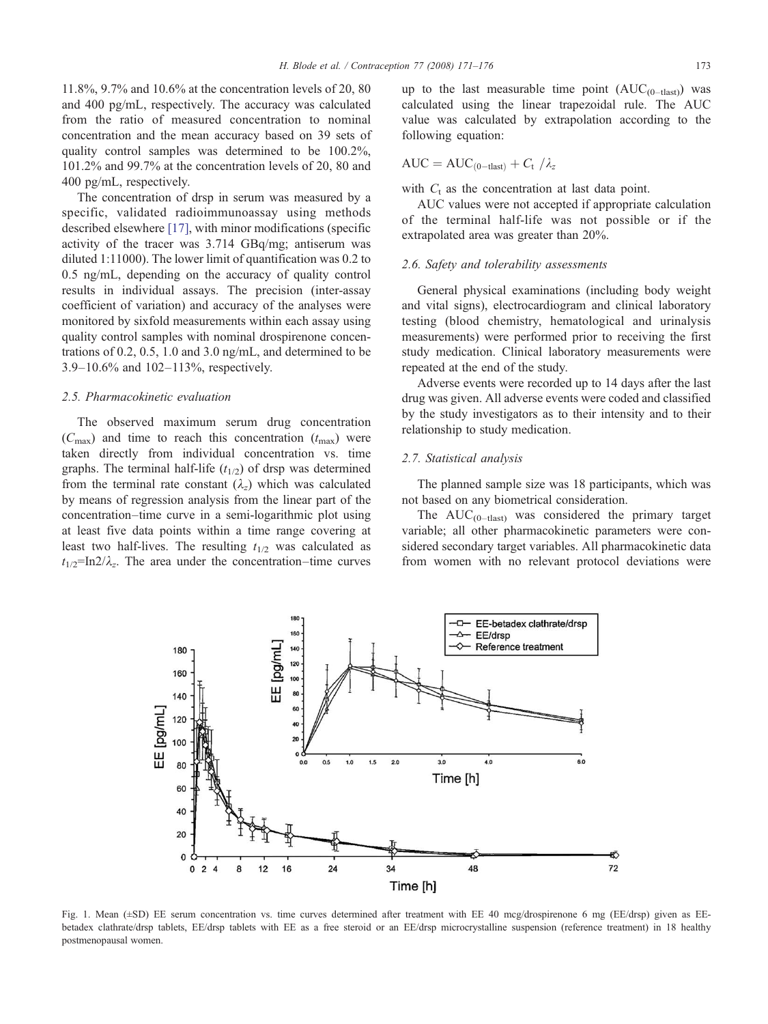<span id="page-2-0"></span>11.8%, 9.7% and 10.6% at the concentration levels of 20, 80 and 400 pg/mL, respectively. The accuracy was calculated from the ratio of measured concentration to nominal concentration and the mean accuracy based on 39 sets of quality control samples was determined to be 100.2%, 101.2% and 99.7% at the concentration levels of 20, 80 and 400 pg/mL, respectively.

The concentration of drsp in serum was measured by a specific, validated radioimmunoassay using methods described elsewhere [\[17\]](#page-5-0), with minor modifications (specific activity of the tracer was 3.714 GBq/mg; antiserum was diluted 1:11000). The lower limit of quantification was 0.2 to 0.5 ng/mL, depending on the accuracy of quality control results in individual assays. The precision (inter-assay coefficient of variation) and accuracy of the analyses were monitored by sixfold measurements within each assay using quality control samples with nominal drospirenone concentrations of 0.2, 0.5, 1.0 and 3.0 ng/mL, and determined to be 3.9–10.6% and 102–113%, respectively.

## 2.5. Pharmacokinetic evaluation

The observed maximum serum drug concentration  $(C_{\text{max}})$  and time to reach this concentration  $(t_{\text{max}})$  were taken directly from individual concentration vs. time graphs. The terminal half-life  $(t_{1/2})$  of drsp was determined from the terminal rate constant  $(\lambda_z)$  which was calculated by means of regression analysis from the linear part of the concentration–time curve in a semi-logarithmic plot using at least five data points within a time range covering at least two half-lives. The resulting  $t_{1/2}$  was calculated as  $t_{1/2}$ =In2/ $\lambda_z$ . The area under the concentration–time curves up to the last measurable time point  $(AUC_{(0-{\rm last})})$  was calculated using the linear trapezoidal rule. The AUC value was calculated by extrapolation according to the following equation:

$$
AUC = AUC_{(0-{\rm last})} + C_{\rm t}/\lambda_z
$$

with  $C_t$  as the concentration at last data point.

AUC values were not accepted if appropriate calculation of the terminal half-life was not possible or if the extrapolated area was greater than 20%.

### 2.6. Safety and tolerability assessments

General physical examinations (including body weight and vital signs), electrocardiogram and clinical laboratory testing (blood chemistry, hematological and urinalysis measurements) were performed prior to receiving the first study medication. Clinical laboratory measurements were repeated at the end of the study.

Adverse events were recorded up to 14 days after the last drug was given. All adverse events were coded and classified by the study investigators as to their intensity and to their relationship to study medication.

# 2.7. Statistical analysis

The planned sample size was 18 participants, which was not based on any biometrical consideration.

The  $AUC_{(0-{\rm last})}$  was considered the primary target variable; all other pharmacokinetic parameters were considered secondary target variables. All pharmacokinetic data from women with no relevant protocol deviations were



Fig. 1. Mean (±SD) EE serum concentration vs. time curves determined after treatment with EE 40 mcg/drospirenone 6 mg (EE/drsp) given as EEbetadex clathrate/drsp tablets, EE/drsp tablets with EE as a free steroid or an EE/drsp microcrystalline suspension (reference treatment) in 18 healthy postmenopausal women.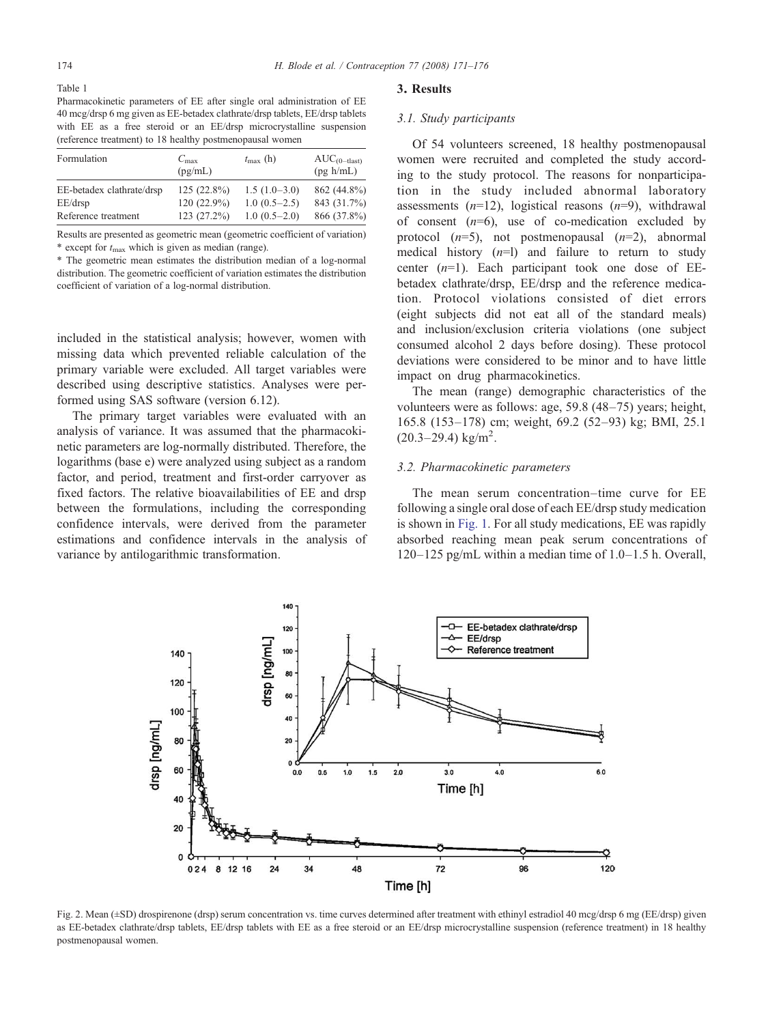<span id="page-3-0"></span>Pharmacokinetic parameters of EE after single oral administration of EE 40 mcg/drsp 6 mg given as EE-betadex clathrate/drsp tablets, EE/drsp tablets with EE as a free steroid or an EE/drsp microcrystalline suspension (reference treatment) to 18 healthy postmenopausal women

| Formulation                          | $C_{\rm max}$<br>(pg/mL)     | $t_{\rm max}$ (h)                | $AUC(0-tlast)$<br>(pg h/mL) |
|--------------------------------------|------------------------------|----------------------------------|-----------------------------|
| EE-betadex clathrate/drsp<br>EE/drsp | $125(22.8\%)$<br>120 (22.9%) | $1.5(1.0-3.0)$<br>$1.0(0.5-2.5)$ | 862 (44.8%)<br>843 (31.7%)  |
| Reference treatment                  | 123 (27.2%)                  | $1.0(0.5-2.0)$                   | 866 (37.8%)                 |

Results are presented as geometric mean (geometric coefficient of variation) \* except for  $t_{\text{max}}$  which is given as median (range).

\* The geometric mean estimates the distribution median of a log-normal distribution. The geometric coefficient of variation estimates the distribution coefficient of variation of a log-normal distribution.

included in the statistical analysis; however, women with missing data which prevented reliable calculation of the primary variable were excluded. All target variables were described using descriptive statistics. Analyses were performed using SAS software (version 6.12).

The primary target variables were evaluated with an analysis of variance. It was assumed that the pharmacokinetic parameters are log-normally distributed. Therefore, the logarithms (base e) were analyzed using subject as a random factor, and period, treatment and first-order carryover as fixed factors. The relative bioavailabilities of EE and drsp between the formulations, including the corresponding confidence intervals, were derived from the parameter estimations and confidence intervals in the analysis of variance by antilogarithmic transformation.

#### 3. Results

#### 3.1. Study participants

Of 54 volunteers screened, 18 healthy postmenopausal women were recruited and completed the study according to the study protocol. The reasons for nonparticipation in the study included abnormal laboratory assessments  $(n=12)$ , logistical reasons  $(n=9)$ , withdrawal of consent  $(n=6)$ , use of co-medication excluded by protocol  $(n=5)$ , not postmenopausal  $(n=2)$ , abnormal medical history  $(n=1)$  and failure to return to study center  $(n=1)$ . Each participant took one dose of EEbetadex clathrate/drsp, EE/drsp and the reference medication. Protocol violations consisted of diet errors (eight subjects did not eat all of the standard meals) and inclusion/exclusion criteria violations (one subject consumed alcohol 2 days before dosing). These protocol deviations were considered to be minor and to have little impact on drug pharmacokinetics.

The mean (range) demographic characteristics of the volunteers were as follows: age, 59.8 (48–75) years; height, 165.8 (153–178) cm; weight, 69.2 (52–93) kg; BMI, 25.1  $(20.3 - 29.4)$  kg/m<sup>2</sup>.

## 3.2. Pharmacokinetic parameters

The mean serum concentration–time curve for EE following a single oral dose of each EE/drsp study medication is shown in [Fig. 1](#page-2-0). For all study medications, EE was rapidly absorbed reaching mean peak serum concentrations of 120–125 pg/mL within a median time of 1.0–1.5 h. Overall,



Fig. 2. Mean (±SD) drospirenone (drsp) serum concentration vs. time curves determined after treatment with ethinyl estradiol 40 mcg/drsp 6 mg (EE/drsp) given as EE-betadex clathrate/drsp tablets, EE/drsp tablets with EE as a free steroid or an EE/drsp microcrystalline suspension (reference treatment) in 18 healthy postmenopausal women.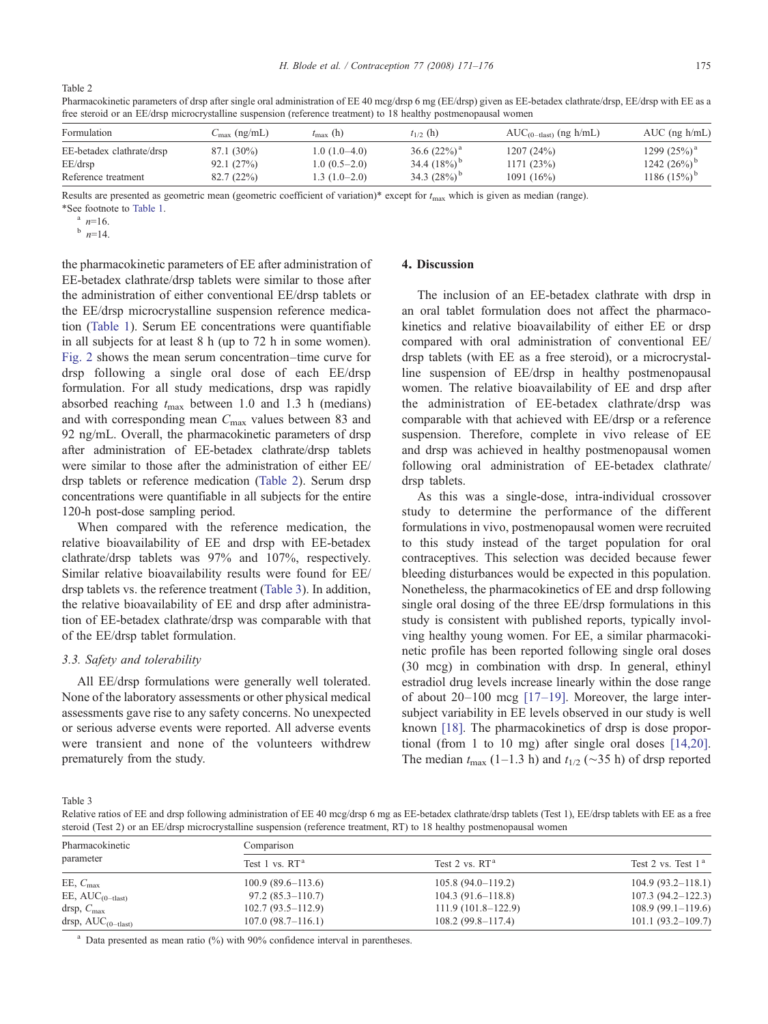Table 2

| free steroid or an EE/drsp microcrystalline suspension (reference treatment) to 18 healthy postmenopausal women |                          |                   |                 |                                  |                    |  |  |
|-----------------------------------------------------------------------------------------------------------------|--------------------------|-------------------|-----------------|----------------------------------|--------------------|--|--|
| Formulation                                                                                                     | $C_{\text{max}}$ (ng/mL) | $t_{\rm max}$ (h) | $t_{1/2}$ (h)   | $AUC_{(0-{\rm last})}$ (ng h/mL) | $AUC$ (ng $h/mL$ ) |  |  |
| $E E_{\rm c}$ 1, $\mu_{\rm c}$ 1, $\mu_{\rm c}$ , 1, $\mu_{\rm c}$ , $\mu_{\rm c}$ / 1, $\mu_{\rm c}$           | 071/200/2                | 1 0 1 1 0 1 0 1   | $26.6$ (220/18) | 1007 $(0.40)$                    | 1200 $(250/3)$     |  |  |

Pharmacokinetic parameters of drsp after single oral administration of EE 40 mcg/drsp 6 mg (EE/drsp) given as EE-betadex clathrate/drsp, EE/drsp with EE as a

EE-betadex clathrate/drsp 87.1 (30%) 1.0 (1.0–4.0) 36.6 (22%)<sup>a</sup> 1207 (24%) 1299 (25%)<sup>a</sup> 1299 (25%)<sup>a</sup> 1299 (25%)<sup>a</sup> 1242 (26%)<sup>b</sup> EE/drsp 92.1 (27%) 1.0 (0.5–2.0) 34.4 (18%) 1171 (23%) 1242 (26%) b Reference treatment 82.7 (22%) 1.3 (1.0–2.0) 34.3 (28%) <sup>b</sup> 1091 (16%) 1186 (15%)<sup>b</sup>

Results are presented as geometric mean (geometric coefficient of variation)\* except for  $t_{\text{max}}$  which is given as median (range).

\*See footnote to [Table 1](#page-3-0).<br>  $n=16$ .<br>  $n=14$ .

the pharmacokinetic parameters of EE after administration of EE-betadex clathrate/drsp tablets were similar to those after the administration of either conventional EE/drsp tablets or the EE/drsp microcrystalline suspension reference medication [\(Table 1\)](#page-3-0). Serum EE concentrations were quantifiable in all subjects for at least 8 h (up to 72 h in some women). [Fig. 2](#page-3-0) shows the mean serum concentration–time curve for drsp following a single oral dose of each EE/drsp formulation. For all study medications, drsp was rapidly absorbed reaching  $t_{\text{max}}$  between 1.0 and 1.3 h (medians) and with corresponding mean  $C_{\text{max}}$  values between 83 and 92 ng/mL. Overall, the pharmacokinetic parameters of drsp after administration of EE-betadex clathrate/drsp tablets were similar to those after the administration of either EE/ drsp tablets or reference medication (Table 2). Serum drsp concentrations were quantifiable in all subjects for the entire 120-h post-dose sampling period.

When compared with the reference medication, the relative bioavailability of EE and drsp with EE-betadex clathrate/drsp tablets was 97% and 107%, respectively. Similar relative bioavailability results were found for EE/ drsp tablets vs. the reference treatment (Table 3). In addition, the relative bioavailability of EE and drsp after administration of EE-betadex clathrate/drsp was comparable with that of the EE/drsp tablet formulation.

## 3.3. Safety and tolerability

All EE/drsp formulations were generally well tolerated. None of the laboratory assessments or other physical medical assessments gave rise to any safety concerns. No unexpected or serious adverse events were reported. All adverse events were transient and none of the volunteers withdrew prematurely from the study.

# 4. Discussion

The inclusion of an EE-betadex clathrate with drsp in an oral tablet formulation does not affect the pharmacokinetics and relative bioavailability of either EE or drsp compared with oral administration of conventional EE/ drsp tablets (with EE as a free steroid), or a microcrystalline suspension of EE/drsp in healthy postmenopausal women. The relative bioavailability of EE and drsp after the administration of EE-betadex clathrate/drsp was comparable with that achieved with EE/drsp or a reference suspension. Therefore, complete in vivo release of EE and drsp was achieved in healthy postmenopausal women following oral administration of EE-betadex clathrate/ drsp tablets.

As this was a single-dose, intra-individual crossover study to determine the performance of the different formulations in vivo, postmenopausal women were recruited to this study instead of the target population for oral contraceptives. This selection was decided because fewer bleeding disturbances would be expected in this population. Nonetheless, the pharmacokinetics of EE and drsp following single oral dosing of the three EE/drsp formulations in this study is consistent with published reports, typically involving healthy young women. For EE, a similar pharmacokinetic profile has been reported following single oral doses (30 mcg) in combination with drsp. In general, ethinyl estradiol drug levels increase linearly within the dose range of about 20–100 mcg [\[17](#page-5-0)–19]. Moreover, the large intersubject variability in EE levels observed in our study is well known [\[18\].](#page-5-0) The pharmacokinetics of drsp is dose proportional (from 1 to 10 mg) after single oral doses [\[14,20\]](#page-5-0). The median  $t_{\text{max}}$  (1–1.3 h) and  $t_{1/2}$  (~35 h) of drsp reported

Table 3

Relative ratios of EE and drsp following administration of EE 40 mcg/drsp 6 mg as EE-betadex clathrate/drsp tablets (Test 1), EE/drsp tablets with EE as a free steroid (Test 2) or an EE/drsp microcrystalline suspension (reference treatment, RT) to 18 healthy postmenopausal women

| Pharmacokinetic<br>parameter  | Comparison          |                      |                       |  |  |
|-------------------------------|---------------------|----------------------|-----------------------|--|--|
|                               | Test $1$ vs. $RT^a$ | Test 2 vs. $RTa$     | Test 2 vs. Test $1a$  |  |  |
| EE, $C_{\text{max}}$          | $100.9(89.6-113.6)$ | $105.8(94.0-119.2)$  | $104.9(93.2-118.1)$   |  |  |
| EE, $AUC_{(0-{\text{last}})}$ | $97.2(85.3-110.7)$  | $104.3(91.6-118.8)$  | $107.3(94.2 - 122.3)$ |  |  |
| drsp, $C_{\text{max}}$        | $102.7(93.5-112.9)$ | $111.9(101.8-122.9)$ | $108.9(99.1-119.6)$   |  |  |
| drsp, $AUC_{(0-{\rm last})}$  | $107.0(98.7-116.1)$ | $108.2(99.8-117.4)$  | $101.1(93.2-109.7)$   |  |  |

Data presented as mean ratio  $(\%)$  with 90% confidence interval in parentheses.